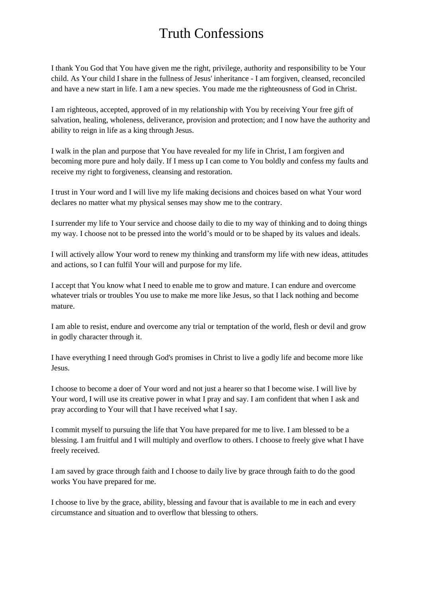## Truth Confessions

I thank You God that You have given me the right, privilege, authority and responsibility to be Your child. As Your child I share in the fullness of Jesus' inheritance - I am forgiven, cleansed, reconciled and have a new start in life. I am a new species. You made me the righteousness of God in Christ.

I am righteous, accepted, approved of in my relationship with You by receiving Your free gift of salvation, healing, wholeness, deliverance, provision and protection; and I now have the authority and ability to reign in life as a king through Jesus.

I walk in the plan and purpose that You have revealed for my life in Christ, I am forgiven and becoming more pure and holy daily. If I mess up I can come to You boldly and confess my faults and receive my right to forgiveness, cleansing and restoration.

I trust in Your word and I will live my life making decisions and choices based on what Your word declares no matter what my physical senses may show me to the contrary.

I surrender my life to Your service and choose daily to die to my way of thinking and to doing things my way. I choose not to be pressed into the world's mould or to be shaped by its values and ideals.

I will actively allow Your word to renew my thinking and transform my life with new ideas, attitudes and actions, so I can fulfil Your will and purpose for my life.

I accept that You know what I need to enable me to grow and mature. I can endure and overcome whatever trials or troubles You use to make me more like Jesus, so that I lack nothing and become mature.

I am able to resist, endure and overcome any trial or temptation of the world, flesh or devil and grow in godly character through it.

I have everything I need through God's promises in Christ to live a godly life and become more like Jesus.

I choose to become a doer of Your word and not just a hearer so that I become wise. I will live by Your word, I will use its creative power in what I pray and say. I am confident that when I ask and pray according to Your will that I have received what I say.

I commit myself to pursuing the life that You have prepared for me to live. I am blessed to be a blessing. I am fruitful and I will multiply and overflow to others. I choose to freely give what I have freely received.

I am saved by grace through faith and I choose to daily live by grace through faith to do the good works You have prepared for me.

I choose to live by the grace, ability, blessing and favour that is available to me in each and every circumstance and situation and to overflow that blessing to others.